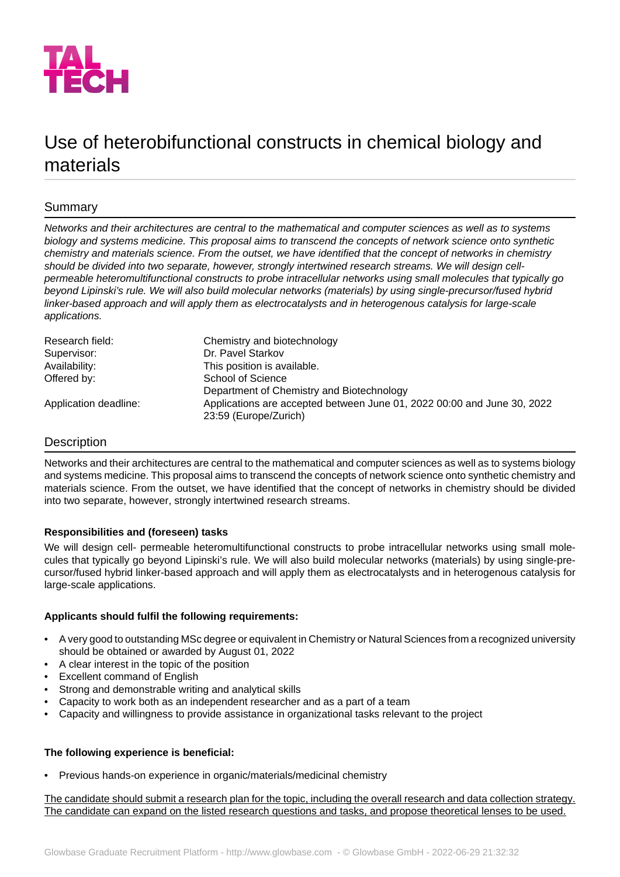

# Use of heterobifunctional constructs in chemical biology and materials

# Summary

*Networks and their architectures are central to the mathematical and computer sciences as well as to systems biology and systems medicine. This proposal aims to transcend the concepts of network science onto synthetic chemistry and materials science. From the outset, we have identified that the concept of networks in chemistry should be divided into two separate, however, strongly intertwined research streams. We will design cellpermeable heteromultifunctional constructs to probe intracellular networks using small molecules that typically go beyond Lipinski's rule. We will also build molecular networks (materials) by using single-precursor/fused hybrid linker-based approach and will apply them as electrocatalysts and in heterogenous catalysis for large-scale applications.*

| Research field:       | Chemistry and biotechnology                                             |
|-----------------------|-------------------------------------------------------------------------|
| Supervisor:           | Dr. Pavel Starkov                                                       |
| Availability:         | This position is available.                                             |
| Offered by:           | School of Science                                                       |
|                       | Department of Chemistry and Biotechnology                               |
| Application deadline: | Applications are accepted between June 01, 2022 00:00 and June 30, 2022 |
|                       | 23:59 (Europe/Zurich)                                                   |

## Description

Networks and their architectures are central to the mathematical and computer sciences as well as to systems biology and systems medicine. This proposal aims to transcend the concepts of network science onto synthetic chemistry and materials science. From the outset, we have identified that the concept of networks in chemistry should be divided into two separate, however, strongly intertwined research streams.

## **Responsibilities and (foreseen) tasks**

We will design cell- permeable heteromultifunctional constructs to probe intracellular networks using small molecules that typically go beyond Lipinski's rule. We will also build molecular networks (materials) by using single-precursor/fused hybrid linker-based approach and will apply them as electrocatalysts and in heterogenous catalysis for large-scale applications.

## **Applicants should fulfil the following requirements:**

- A very good to outstanding MSc degree or equivalent in Chemistry or Natural Sciences from a recognized university should be obtained or awarded by August 01, 2022
- A clear interest in the topic of the position
- Excellent command of English
- Strong and demonstrable writing and analytical skills
- Capacity to work both as an independent researcher and as a part of a team
- Capacity and willingness to provide assistance in organizational tasks relevant to the project

## **The following experience is beneficial:**

• Previous hands-on experience in organic/materials/medicinal chemistry

The candidate should submit a research plan for the topic, including the overall research and data collection strategy. The candidate can expand on the listed research questions and tasks, and propose theoretical lenses to be used.